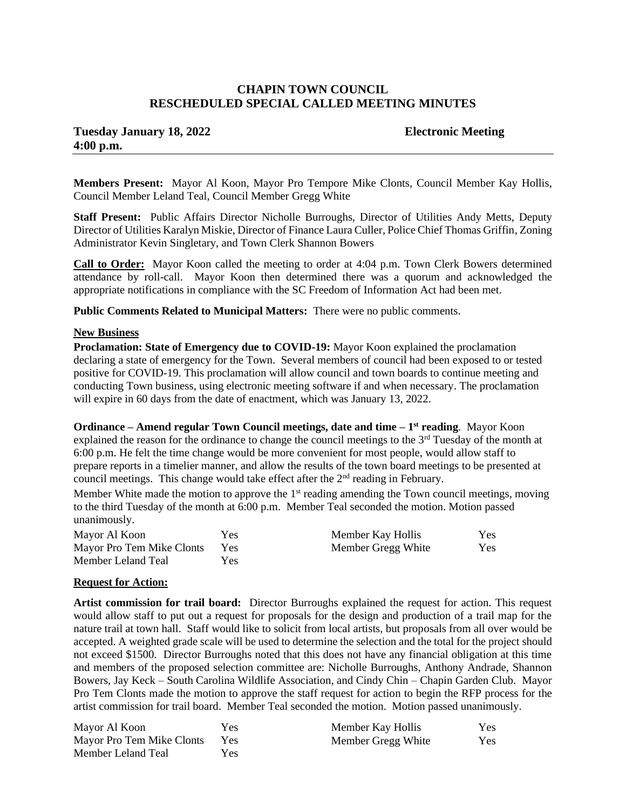# **CHAPIN TOWN COUNCIL RESCHEDULED SPECIAL CALLED MEETING MINUTES**

# **Tuesday January 18, 2022 Electronic Meeting 4:00 p.m.**

**Members Present:** Mayor Al Koon, Mayor Pro Tempore Mike Clonts, Council Member Kay Hollis, Council Member Leland Teal, Council Member Gregg White

**Staff Present:** Public Affairs Director Nicholle Burroughs, Director of Utilities Andy Metts, Deputy Director of Utilities Karalyn Miskie, Director of Finance Laura Culler, Police Chief Thomas Griffin, Zoning Administrator Kevin Singletary, and Town Clerk Shannon Bowers

**Call to Order:** Mayor Koon called the meeting to order at 4:04 p.m. Town Clerk Bowers determined attendance by roll-call. Mayor Koon then determined there was a quorum and acknowledged the appropriate notifications in compliance with the SC Freedom of Information Act had been met.

**Public Comments Related to Municipal Matters:** There were no public comments.

### **New Business**

**Proclamation: State of Emergency due to COVID-19:** Mayor Koon explained the proclamation declaring a state of emergency for the Town. Several members of council had been exposed to or tested positive for COVID-19. This proclamation will allow council and town boards to continue meeting and conducting Town business, using electronic meeting software if and when necessary. The proclamation will expire in 60 days from the date of enactment, which was January 13, 2022.

**Ordinance – Amend regular Town Council meetings, date and time – 1 st reading**. Mayor Koon explained the reason for the ordinance to change the council meetings to the 3<sup>rd</sup> Tuesday of the month at 6:00 p.m. He felt the time change would be more convenient for most people, would allow staff to prepare reports in a timelier manner, and allow the results of the town board meetings to be presented at council meetings. This change would take effect after the  $2<sup>nd</sup>$  reading in February.

Member White made the motion to approve the 1<sup>st</sup> reading amending the Town council meetings, moving to the third Tuesday of the month at 6:00 p.m. Member Teal seconded the motion. Motion passed unanimously.

| Mayor Al Koon             | Yes        | Member Kay Hollis  | <b>Yes</b> |
|---------------------------|------------|--------------------|------------|
| Mayor Pro Tem Mike Clonts | <b>Yes</b> | Member Gregg White | Yes        |
| Member Leland Teal        | Yes.       |                    |            |

#### **Request for Action:**

**Artist commission for trail board:** Director Burroughs explained the request for action. This request would allow staff to put out a request for proposals for the design and production of a trail map for the nature trail at town hall. Staff would like to solicit from local artists, but proposals from all over would be accepted. A weighted grade scale will be used to determine the selection and the total for the project should not exceed \$1500. Director Burroughs noted that this does not have any financial obligation at this time and members of the proposed selection committee are: Nicholle Burroughs, Anthony Andrade, Shannon Bowers, Jay Keck – South Carolina Wildlife Association, and Cindy Chin – Chapin Garden Club. Mayor Pro Tem Clonts made the motion to approve the staff request for action to begin the RFP process for the artist commission for trail board. Member Teal seconded the motion. Motion passed unanimously.

| Mayor Al Koon             | Yes        | Member Kay Hollis  | Yes.       |
|---------------------------|------------|--------------------|------------|
| Mayor Pro Tem Mike Clonts | <b>Yes</b> | Member Gregg White | <b>Yes</b> |
| Member Leland Teal        | Yes.       |                    |            |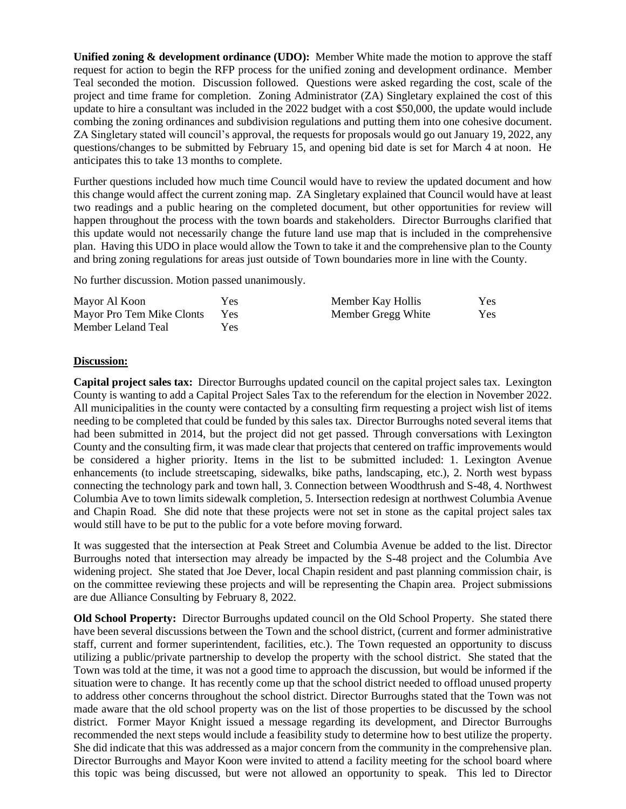**Unified zoning & development ordinance (UDO):** Member White made the motion to approve the staff request for action to begin the RFP process for the unified zoning and development ordinance. Member Teal seconded the motion. Discussion followed. Questions were asked regarding the cost, scale of the project and time frame for completion. Zoning Administrator (ZA) Singletary explained the cost of this update to hire a consultant was included in the 2022 budget with a cost \$50,000, the update would include combing the zoning ordinances and subdivision regulations and putting them into one cohesive document. ZA Singletary stated will council's approval, the requests for proposals would go out January 19, 2022, any questions/changes to be submitted by February 15, and opening bid date is set for March 4 at noon. He anticipates this to take 13 months to complete.

Further questions included how much time Council would have to review the updated document and how this change would affect the current zoning map. ZA Singletary explained that Council would have at least two readings and a public hearing on the completed document, but other opportunities for review will happen throughout the process with the town boards and stakeholders. Director Burroughs clarified that this update would not necessarily change the future land use map that is included in the comprehensive plan. Having this UDO in place would allow the Town to take it and the comprehensive plan to the County and bring zoning regulations for areas just outside of Town boundaries more in line with the County.

No further discussion. Motion passed unanimously.

| Mayor Al Koon             | Yes        | Member Kay Hollis  | Yes        |
|---------------------------|------------|--------------------|------------|
| Mayor Pro Tem Mike Clonts | <b>Yes</b> | Member Gregg White | <b>Yes</b> |
| Member Leland Teal        | Yes        |                    |            |

## **Discussion:**

**Capital project sales tax:** Director Burroughs updated council on the capital project sales tax. Lexington County is wanting to add a Capital Project Sales Tax to the referendum for the election in November 2022. All municipalities in the county were contacted by a consulting firm requesting a project wish list of items needing to be completed that could be funded by this sales tax. Director Burroughs noted several items that had been submitted in 2014, but the project did not get passed. Through conversations with Lexington County and the consulting firm, it was made clear that projects that centered on traffic improvements would be considered a higher priority. Items in the list to be submitted included: 1. Lexington Avenue enhancements (to include streetscaping, sidewalks, bike paths, landscaping, etc.), 2. North west bypass connecting the technology park and town hall, 3. Connection between Woodthrush and S-48, 4. Northwest Columbia Ave to town limits sidewalk completion, 5. Intersection redesign at northwest Columbia Avenue and Chapin Road. She did note that these projects were not set in stone as the capital project sales tax would still have to be put to the public for a vote before moving forward.

It was suggested that the intersection at Peak Street and Columbia Avenue be added to the list. Director Burroughs noted that intersection may already be impacted by the S-48 project and the Columbia Ave widening project. She stated that Joe Dever, local Chapin resident and past planning commission chair, is on the committee reviewing these projects and will be representing the Chapin area. Project submissions are due Alliance Consulting by February 8, 2022.

**Old School Property:** Director Burroughs updated council on the Old School Property. She stated there have been several discussions between the Town and the school district, (current and former administrative staff, current and former superintendent, facilities, etc.). The Town requested an opportunity to discuss utilizing a public/private partnership to develop the property with the school district. She stated that the Town was told at the time, it was not a good time to approach the discussion, but would be informed if the situation were to change. It has recently come up that the school district needed to offload unused property to address other concerns throughout the school district. Director Burroughs stated that the Town was not made aware that the old school property was on the list of those properties to be discussed by the school district. Former Mayor Knight issued a message regarding its development, and Director Burroughs recommended the next steps would include a feasibility study to determine how to best utilize the property. She did indicate that this was addressed as a major concern from the community in the comprehensive plan. Director Burroughs and Mayor Koon were invited to attend a facility meeting for the school board where this topic was being discussed, but were not allowed an opportunity to speak. This led to Director